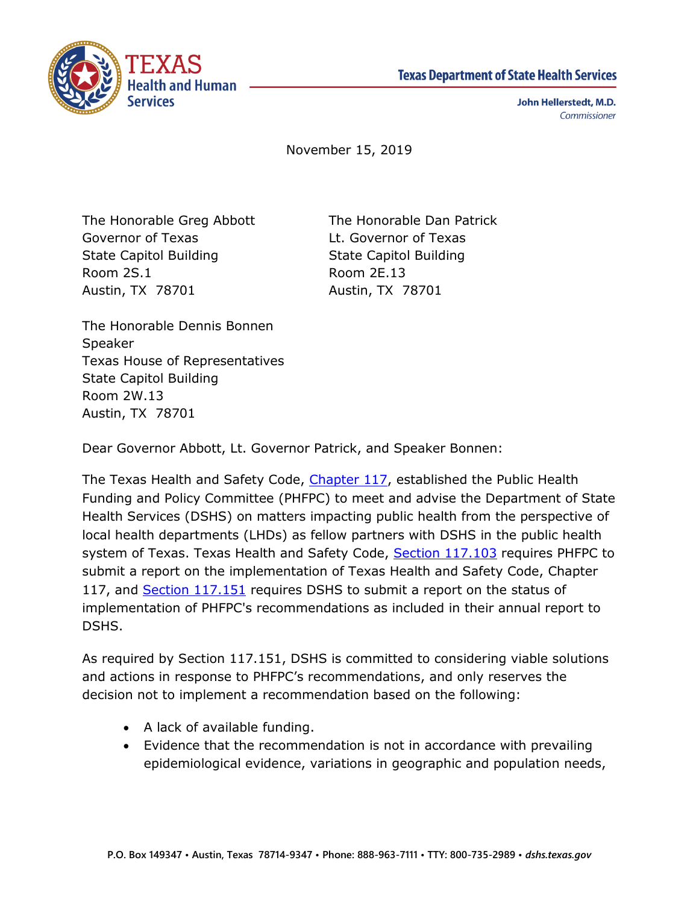



John Hellerstedt, M.D. Commissioner

November 15, 2019

The Honorable Greg Abbott The Honorable Dan Patrick Governor of Texas Lt. Governor of Texas State Capitol Building State Capitol Building Room 2S.1 Room 2E.13 Austin, TX 78701 Austin, TX 78701

The Honorable Dennis Bonnen Speaker Texas House of Representatives State Capitol Building Room 2W.13 Austin, TX 78701

Dear Governor Abbott, Lt. Governor Patrick, and Speaker Bonnen:

The Texas Health and Safety Code, [Chapter 117,](http://www.statutes.legis.state.tx.us/Docs/HS/pdf/HS.117.pdf) established the Public Health Funding and Policy Committee (PHFPC) to meet and advise the Department of State Health Services (DSHS) on matters impacting public health from the perspective of local health departments (LHDs) as fellow partners with DSHS in the public health system of Texas. Texas Health and Safety Code, [Section 117.103](https://statutes.capitol.texas.gov/Docs/HS/pdf/HS.117.pdf) requires PHFPC to submit a report on the implementation of Texas Health and Safety Code, Chapter 117, and [Section 117.151](http://www.statutes.legis.state.tx.us/Docs/HS/htm/HS.117.htm#117.151) requires DSHS to submit a report on the status of implementation of PHFPC's recommendations as included in their annual report to DSHS.

As required by Section 117.151, DSHS is committed to considering viable solutions and actions in response to PHFPC's recommendations, and only reserves the decision not to implement a recommendation based on the following:

- A lack of available funding.
- Evidence that the recommendation is not in accordance with prevailing epidemiological evidence, variations in geographic and population needs,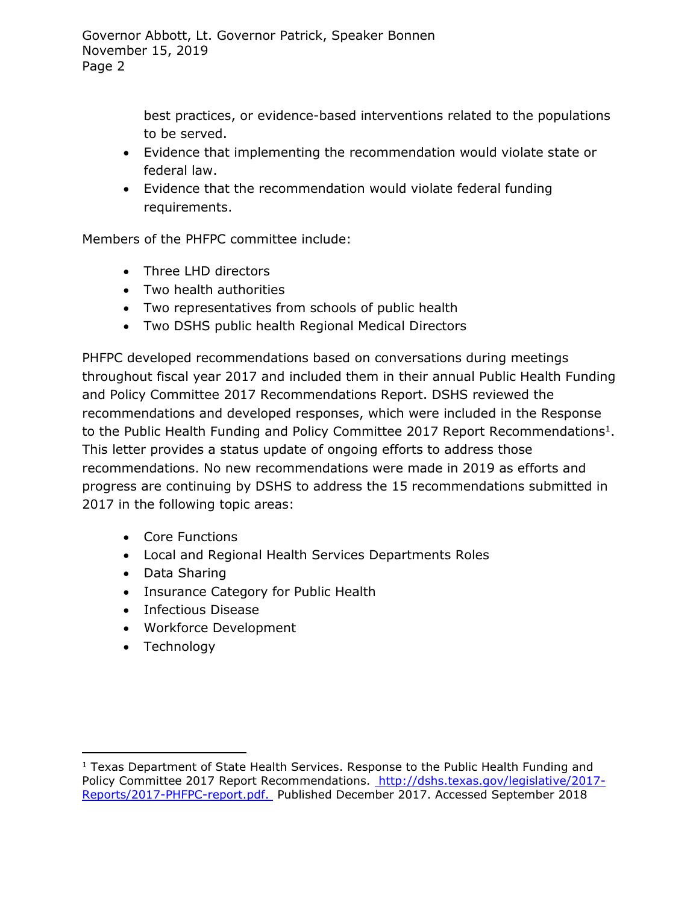best practices, or evidence-based interventions related to the populations to be served.

- Evidence that implementing the recommendation would violate state or federal law.
- Evidence that the recommendation would violate federal funding requirements.

Members of the PHFPC committee include:

- Three LHD directors
- Two health authorities
- Two representatives from schools of public health
- Two DSHS public health Regional Medical Directors

PHFPC developed recommendations based on conversations during meetings throughout fiscal year 2017 and included them in their annual Public Health Funding and Policy Committee 2017 Recommendations Report. DSHS reviewed the recommendations and developed responses, which were included in the Response to the Public Health Funding and Policy Committee 2017 Report Recommendations<sup>1</sup>. This letter provides a status update of ongoing efforts to address those recommendations. No new recommendations were made in 2019 as efforts and progress are continuing by DSHS to address the 15 recommendations submitted in 2017 in the following topic areas:

- Core Functions
- Local and Regional Health Services Departments Roles
- Data Sharing
- Insurance Category for Public Health
- Infectious Disease
- Workforce Development
- Technology

 $\overline{a}$ 

 $1$  Texas Department of State Health Services. Response to the Public Health Funding and Policy Committee 2017 Report Recommendations. [http://dshs.texas.gov/legislative/2017-](http://dshs.texas.gov/legislative/2017-Reports/2017-PHFPC-report.pdf.) [Reports/2017-PHFPC-report.pdf.](http://dshs.texas.gov/legislative/2017-Reports/2017-PHFPC-report.pdf.) Published December 2017. Accessed September 2018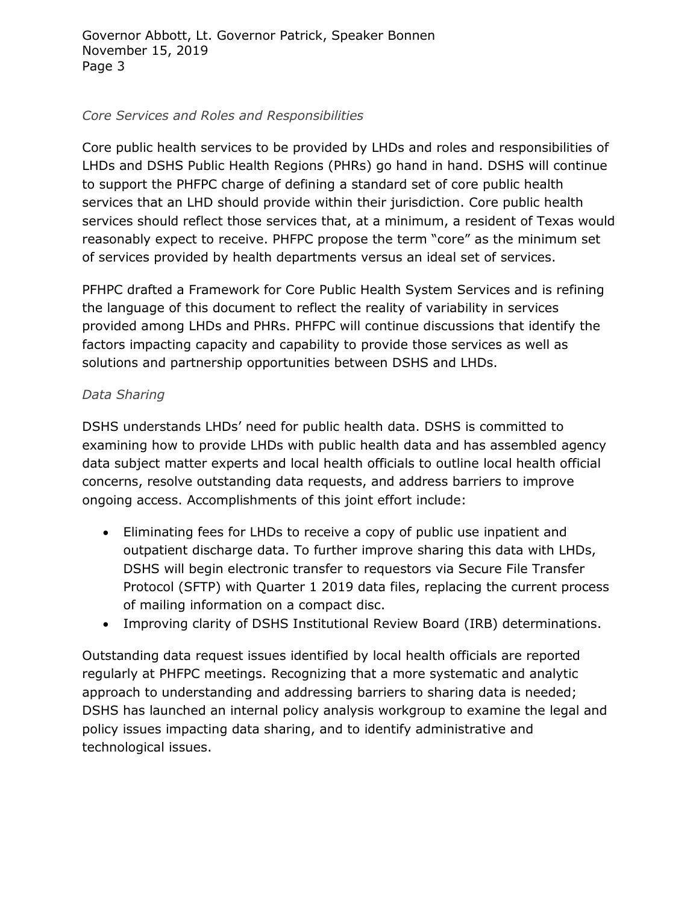# *Core Services and Roles and Responsibilities*

Core public health services to be provided by LHDs and roles and responsibilities of LHDs and DSHS Public Health Regions (PHRs) go hand in hand. DSHS will continue to support the PHFPC charge of defining a standard set of core public health services that an LHD should provide within their jurisdiction. Core public health services should reflect those services that, at a minimum, a resident of Texas would reasonably expect to receive. PHFPC propose the term "core" as the minimum set of services provided by health departments versus an ideal set of services.

PFHPC drafted a Framework for Core Public Health System Services and is refining the language of this document to reflect the reality of variability in services provided among LHDs and PHRs. PHFPC will continue discussions that identify the factors impacting capacity and capability to provide those services as well as solutions and partnership opportunities between DSHS and LHDs.

## *Data Sharing*

DSHS understands LHDs' need for public health data. DSHS is committed to examining how to provide LHDs with public health data and has assembled agency data subject matter experts and local health officials to outline local health official concerns, resolve outstanding data requests, and address barriers to improve ongoing access. Accomplishments of this joint effort include:

- Eliminating fees for LHDs to receive a copy of public use inpatient and outpatient discharge data. To further improve sharing this data with LHDs, DSHS will begin electronic transfer to requestors via Secure File Transfer Protocol (SFTP) with Quarter 1 2019 data files, replacing the current process of mailing information on a compact disc.
- Improving clarity of DSHS Institutional Review Board (IRB) determinations.

Outstanding data request issues identified by local health officials are reported regularly at PHFPC meetings. Recognizing that a more systematic and analytic approach to understanding and addressing barriers to sharing data is needed; DSHS has launched an internal policy analysis workgroup to examine the legal and policy issues impacting data sharing, and to identify administrative and technological issues.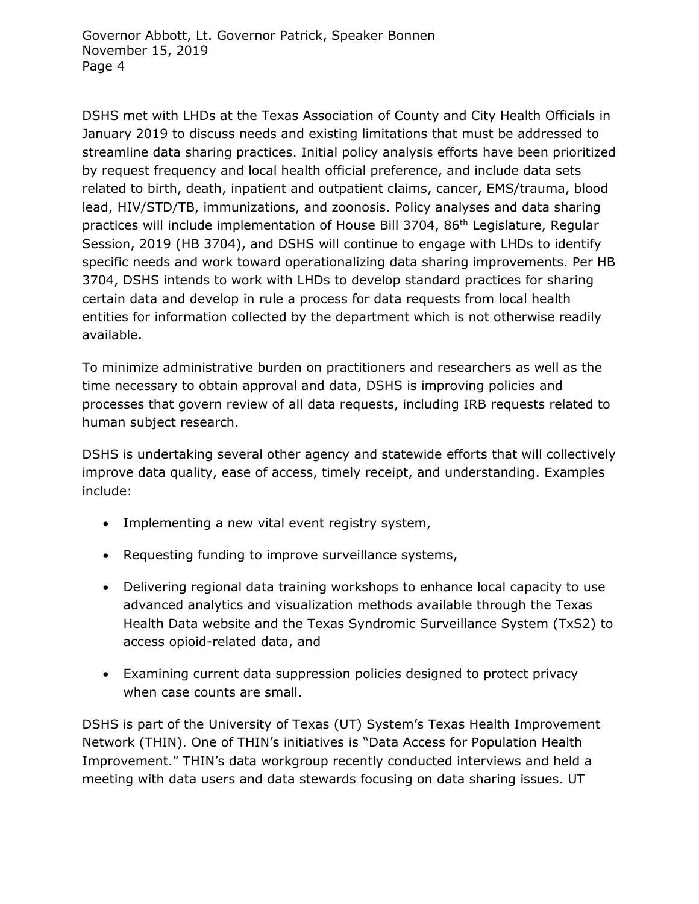DSHS met with LHDs at the Texas Association of County and City Health Officials in January 2019 to discuss needs and existing limitations that must be addressed to streamline data sharing practices. Initial policy analysis efforts have been prioritized by request frequency and local health official preference, and include data sets related to birth, death, inpatient and outpatient claims, cancer, EMS/trauma, blood lead, HIV/STD/TB, immunizations, and zoonosis. Policy analyses and data sharing practices will include implementation of House Bill 3704, 86th Legislature, Regular Session, 2019 (HB 3704), and DSHS will continue to engage with LHDs to identify specific needs and work toward operationalizing data sharing improvements. Per HB 3704, DSHS intends to work with LHDs to develop standard practices for sharing certain data and develop in rule a process for data requests from local health entities for information collected by the department which is not otherwise readily available.

To minimize administrative burden on practitioners and researchers as well as the time necessary to obtain approval and data, DSHS is improving policies and processes that govern review of all data requests, including IRB requests related to human subject research.

DSHS is undertaking several other agency and statewide efforts that will collectively improve data quality, ease of access, timely receipt, and understanding. Examples include:

- Implementing a new vital event registry system,
- Requesting funding to improve surveillance systems,
- Delivering regional data training workshops to enhance local capacity to use advanced analytics and visualization methods available through the Texas Health Data website and the Texas Syndromic Surveillance System (TxS2) to access opioid-related data, and
- Examining current data suppression policies designed to protect privacy when case counts are small.

DSHS is part of the University of Texas (UT) System's Texas Health Improvement Network (THIN). One of THIN's initiatives is "Data Access for Population Health Improvement." THIN's data workgroup recently conducted interviews and held a meeting with data users and data stewards focusing on data sharing issues. UT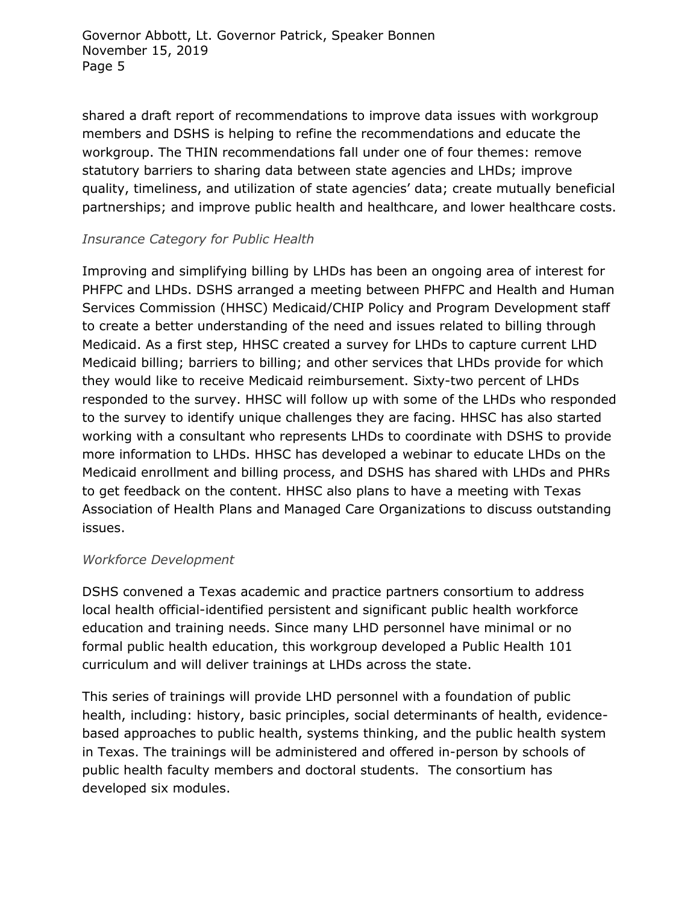Governor Abbott, Lt. Governor Patrick, Speaker Bonnen November 15, 2019 Page 5

shared a draft report of recommendations to improve data issues with workgroup members and DSHS is helping to refine the recommendations and educate the workgroup. The THIN recommendations fall under one of four themes: remove statutory barriers to sharing data between state agencies and LHDs; improve quality, timeliness, and utilization of state agencies' data; create mutually beneficial partnerships; and improve public health and healthcare, and lower healthcare costs.

### *Insurance Category for Public Health*

Improving and simplifying billing by LHDs has been an ongoing area of interest for PHFPC and LHDs. DSHS arranged a meeting between PHFPC and Health and Human Services Commission (HHSC) Medicaid/CHIP Policy and Program Development staff to create a better understanding of the need and issues related to billing through Medicaid. As a first step, HHSC created a survey for LHDs to capture current LHD Medicaid billing; barriers to billing; and other services that LHDs provide for which they would like to receive Medicaid reimbursement. Sixty-two percent of LHDs responded to the survey. HHSC will follow up with some of the LHDs who responded to the survey to identify unique challenges they are facing. HHSC has also started working with a consultant who represents LHDs to coordinate with DSHS to provide more information to LHDs. HHSC has developed a webinar to educate LHDs on the Medicaid enrollment and billing process, and DSHS has shared with LHDs and PHRs to get feedback on the content. HHSC also plans to have a meeting with Texas Association of Health Plans and Managed Care Organizations to discuss outstanding issues.

#### *Workforce Development*

DSHS convened a Texas academic and practice partners consortium to address local health official-identified persistent and significant public health workforce education and training needs. Since many LHD personnel have minimal or no formal public health education, this workgroup developed a Public Health 101 curriculum and will deliver trainings at LHDs across the state.

This series of trainings will provide LHD personnel with a foundation of public health, including: history, basic principles, social determinants of health, evidencebased approaches to public health, systems thinking, and the public health system in Texas. The trainings will be administered and offered in-person by schools of public health faculty members and doctoral students. The consortium has developed six modules.